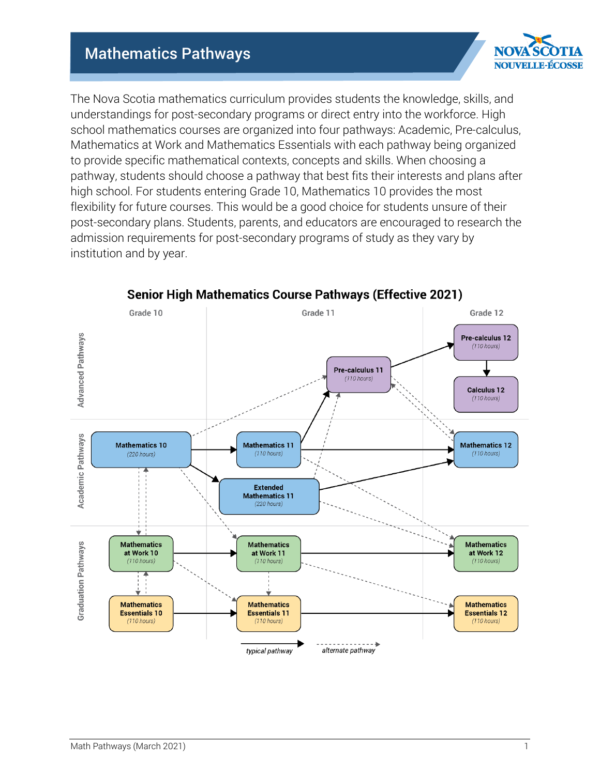# Mathematics Pathways



The Nova Scotia mathematics curriculum provides students the knowledge, skills, and understandings for post-secondary programs or direct entry into the workforce. High school mathematics courses are organized into four pathways: Academic, Pre-calculus, Mathematics at Work and Mathematics Essentials with each pathway being organized to provide specific mathematical contexts, concepts and skills. When choosing a pathway, students should choose a pathway that best fits their interests and plans after high school. For students entering Grade 10, Mathematics 10 provides the most flexibility for future courses. This would be a good choice for students unsure of their post-secondary plans. Students, parents, and educators are encouraged to research the admission requirements for post-secondary programs of study as they vary by institution and by year.



**Senior High Mathematics Course Pathways (Effective 2021)**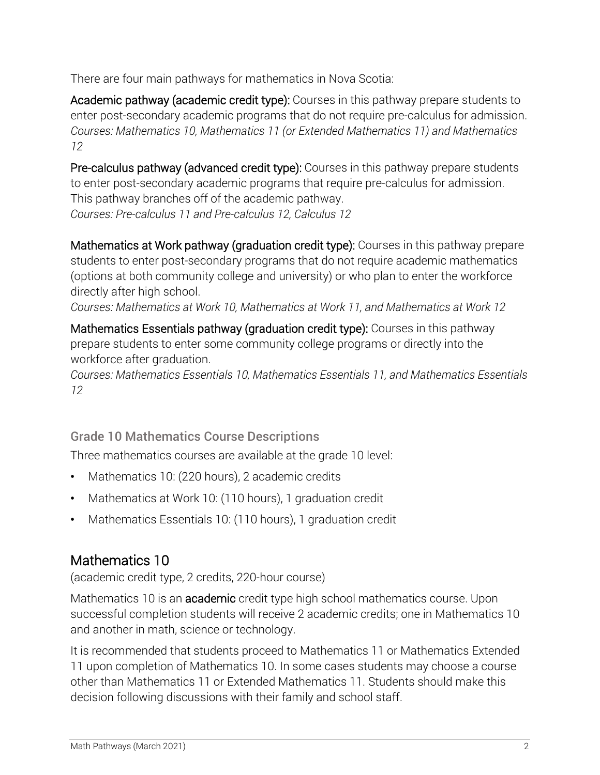There are four main pathways for mathematics in Nova Scotia:

Academic pathway (academic credit type): Courses in this pathway prepare students to enter post-secondary academic programs that do not require pre-calculus for admission. *Courses: Mathematics 10, Mathematics 11 (or Extended Mathematics 11) and Mathematics 12*

Pre-calculus pathway (advanced credit type): Courses in this pathway prepare students to enter post-secondary academic programs that require pre-calculus for admission. This pathway branches off of the academic pathway. *Courses: Pre-calculus 11 and Pre-calculus 12, Calculus 12*

Mathematics at Work pathway (graduation credit type): Courses in this pathway prepare students to enter post-secondary programs that do not require academic mathematics (options at both community college and university) or who plan to enter the workforce directly after high school.

*Courses: Mathematics at Work 10, Mathematics at Work 11, and Mathematics at Work 12*

Mathematics Essentials pathway (graduation credit type): Courses in this pathway prepare students to enter some community college programs or directly into the workforce after graduation.

*Courses: Mathematics Essentials 10, Mathematics Essentials 11, and Mathematics Essentials 12*

Grade 10 Mathematics Course Descriptions

Three mathematics courses are available at the grade 10 level:

- Mathematics 10: (220 hours), 2 academic credits
- Mathematics at Work 10: (110 hours), 1 graduation credit
- Mathematics Essentials 10: (110 hours), 1 graduation credit

# Mathematics 10

(academic credit type, 2 credits, 220-hour course)

Mathematics 10 is an academic credit type high school mathematics course. Upon successful completion students will receive 2 academic credits; one in Mathematics 10 and another in math, science or technology.

It is recommended that students proceed to Mathematics 11 or Mathematics Extended 11 upon completion of Mathematics 10. In some cases students may choose a course other than Mathematics 11 or Extended Mathematics 11. Students should make this decision following discussions with their family and school staff.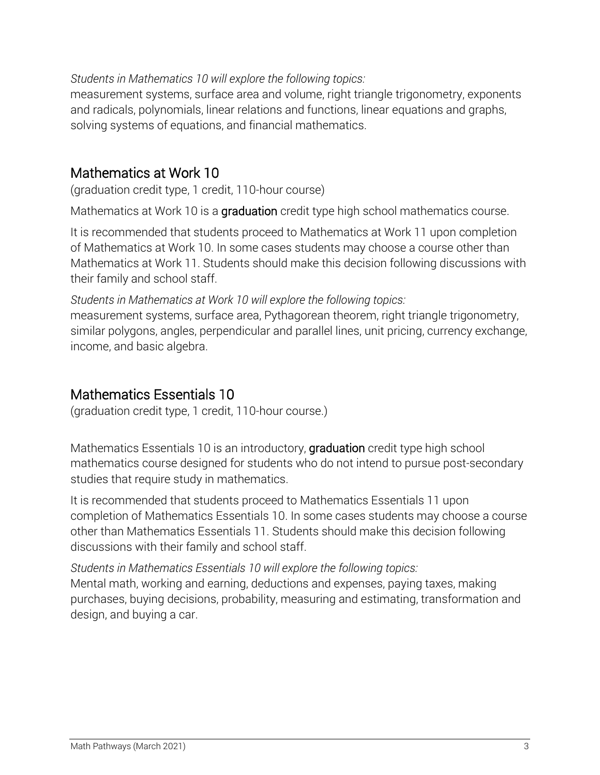#### *Students in Mathematics 10 will explore the following topics:*

measurement systems, surface area and volume, right triangle trigonometry, exponents and radicals, polynomials, linear relations and functions, linear equations and graphs, solving systems of equations, and financial mathematics.

### Mathematics at Work 10

(graduation credit type, 1 credit, 110-hour course)

Mathematics at Work 10 is a graduation credit type high school mathematics course.

It is recommended that students proceed to Mathematics at Work 11 upon completion of Mathematics at Work 10. In some cases students may choose a course other than Mathematics at Work 11. Students should make this decision following discussions with their family and school staff.

*Students in Mathematics at Work 10 will explore the following topics:* measurement systems, surface area, Pythagorean theorem, right triangle trigonometry, similar polygons, angles, perpendicular and parallel lines, unit pricing, currency exchange, income, and basic algebra.

### Mathematics Essentials 10

(graduation credit type, 1 credit, 110-hour course.)

Mathematics Essentials 10 is an introductory, graduation credit type high school mathematics course designed for students who do not intend to pursue post-secondary studies that require study in mathematics.

It is recommended that students proceed to Mathematics Essentials 11 upon completion of Mathematics Essentials 10. In some cases students may choose a course other than Mathematics Essentials 11. Students should make this decision following discussions with their family and school staff.

*Students in Mathematics Essentials 10 will explore the following topics:* Mental math, working and earning, deductions and expenses, paying taxes, making purchases, buying decisions, probability, measuring and estimating, transformation and design, and buying a car.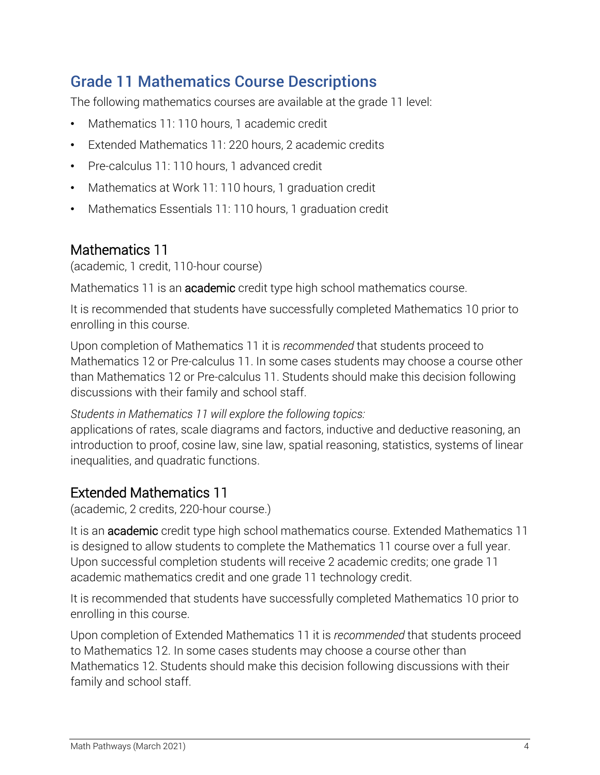# Grade 11 Mathematics Course Descriptions

The following mathematics courses are available at the grade 11 level:

- Mathematics 11: 110 hours, 1 academic credit
- Extended Mathematics 11: 220 hours, 2 academic credits
- Pre-calculus 11: 110 hours, 1 advanced credit
- Mathematics at Work 11: 110 hours, 1 graduation credit
- Mathematics Essentials 11: 110 hours, 1 graduation credit

### Mathematics 11

(academic, 1 credit, 110-hour course)

Mathematics 11 is an **academic** credit type high school mathematics course.

It is recommended that students have successfully completed Mathematics 10 prior to enrolling in this course.

Upon completion of Mathematics 11 it is *recommended* that students proceed to Mathematics 12 or Pre-calculus 11. In some cases students may choose a course other than Mathematics 12 or Pre-calculus 11. Students should make this decision following discussions with their family and school staff.

*Students in Mathematics 11 will explore the following topics:*

applications of rates, scale diagrams and factors, inductive and deductive reasoning, an introduction to proof, cosine law, sine law, spatial reasoning, statistics, systems of linear inequalities, and quadratic functions.

#### Extended Mathematics 11

(academic, 2 credits, 220-hour course.)

It is an academic credit type high school mathematics course. Extended Mathematics 11 is designed to allow students to complete the Mathematics 11 course over a full year. Upon successful completion students will receive 2 academic credits; one grade 11 academic mathematics credit and one grade 11 technology credit.

It is recommended that students have successfully completed Mathematics 10 prior to enrolling in this course.

Upon completion of Extended Mathematics 11 it is *recommended* that students proceed to Mathematics 12. In some cases students may choose a course other than Mathematics 12. Students should make this decision following discussions with their family and school staff.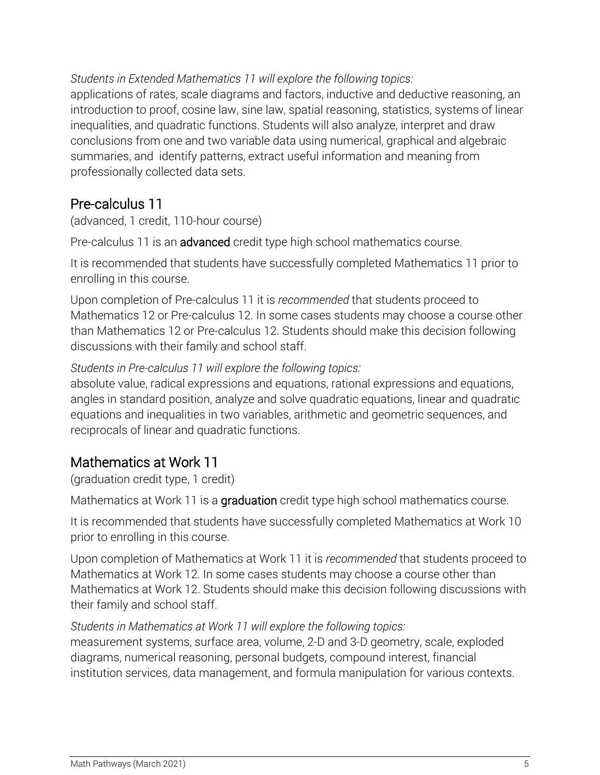*Students in Extended Mathematics 11 will explore the following topics:*

applications of rates, scale diagrams and factors, inductive and deductive reasoning, an introduction to proof, cosine law, sine law, spatial reasoning, statistics, systems of linear inequalities, and quadratic functions. Students will also analyze, interpret and draw conclusions from one and two variable data using numerical, graphical and algebraic summaries, and identify patterns, extract useful information and meaning from professionally collected data sets.

# Pre-calculus 11

(advanced, 1 credit, 110-hour course)

Pre-calculus 11 is an advanced credit type high school mathematics course.

It is recommended that students have successfully completed Mathematics 11 prior to enrolling in this course.

Upon completion of Pre-calculus 11 it is *recommended* that students proceed to Mathematics 12 or Pre-calculus 12. In some cases students may choose a course other than Mathematics 12 or Pre-calculus 12. Students should make this decision following discussions with their family and school staff.

#### *Students in Pre-calculus 11 will explore the following topics:*

absolute value, radical expressions and equations, rational expressions and equations, angles in standard position, analyze and solve quadratic equations, linear and quadratic equations and inequalities in two variables, arithmetic and geometric sequences, and reciprocals of linear and quadratic functions.

# Mathematics at Work 11

(graduation credit type, 1 credit)

Mathematics at Work 11 is a graduation credit type high school mathematics course.

It is recommended that students have successfully completed Mathematics at Work 10 prior to enrolling in this course.

Upon completion of Mathematics at Work 11 it is *recommended* that students proceed to Mathematics at Work 12. In some cases students may choose a course other than Mathematics at Work 12. Students should make this decision following discussions with their family and school staff.

#### *Students in Mathematics at Work 11 will explore the following topics:*

measurement systems, surface area, volume, 2-D and 3-D geometry, scale, exploded diagrams, numerical reasoning, personal budgets, compound interest, financial institution services, data management, and formula manipulation for various contexts.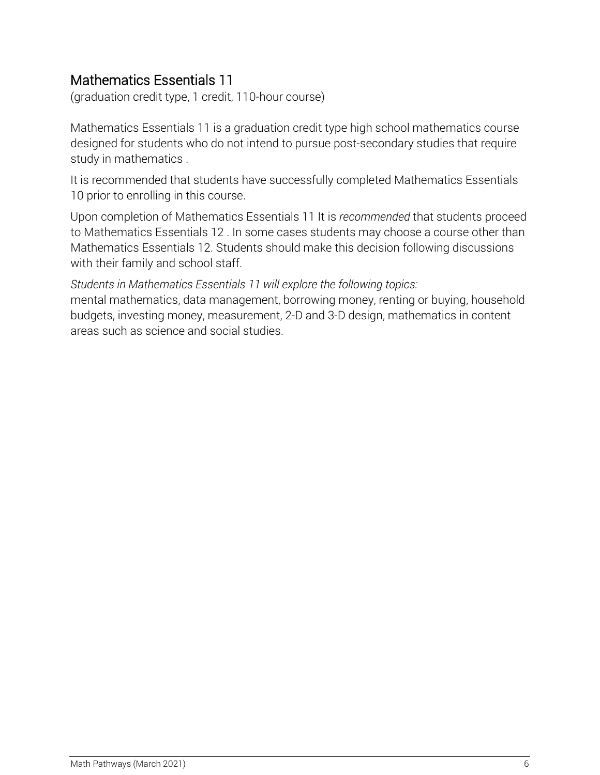### Mathematics Essentials 11

(graduation credit type, 1 credit, 110-hour course)

Mathematics Essentials 11 is a graduation credit type high school mathematics course designed for students who do not intend to pursue post-secondary studies that require study in mathematics .

It is recommended that students have successfully completed Mathematics Essentials 10 prior to enrolling in this course.

Upon completion of Mathematics Essentials 11 It is *recommended* that students proceed to Mathematics Essentials 12 . In some cases students may choose a course other than Mathematics Essentials 12. Students should make this decision following discussions with their family and school staff.

*Students in Mathematics Essentials 11 will explore the following topics:*

mental mathematics, data management, borrowing money, renting or buying, household budgets, investing money, measurement, 2-D and 3-D design, mathematics in content areas such as science and social studies.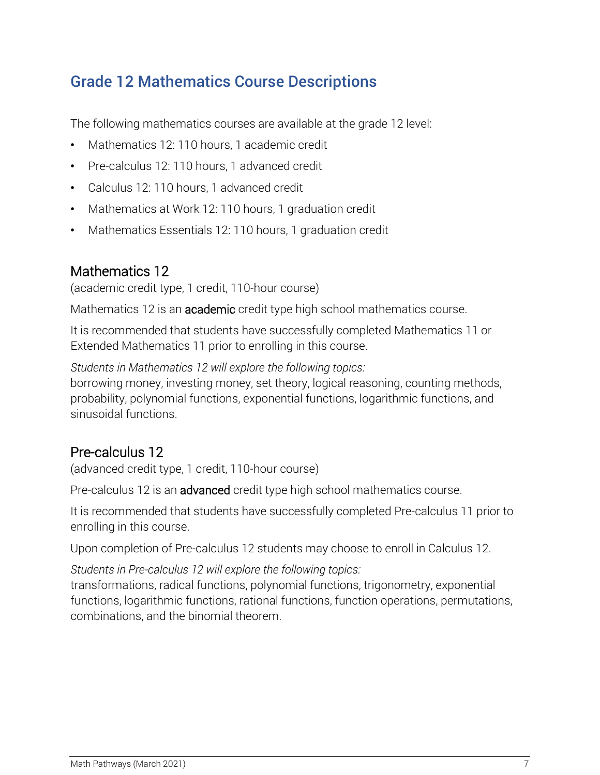# Grade 12 Mathematics Course Descriptions

The following mathematics courses are available at the grade 12 level:

- Mathematics 12: 110 hours, 1 academic credit
- Pre-calculus 12: 110 hours, 1 advanced credit
- Calculus 12: 110 hours, 1 advanced credit
- Mathematics at Work 12: 110 hours, 1 graduation credit
- Mathematics Essentials 12: 110 hours, 1 graduation credit

# Mathematics 12

(academic credit type, 1 credit, 110-hour course)

Mathematics 12 is an **academic** credit type high school mathematics course.

It is recommended that students have successfully completed Mathematics 11 or Extended Mathematics 11 prior to enrolling in this course.

*Students in Mathematics 12 will explore the following topics:*

borrowing money, investing money, set theory, logical reasoning, counting methods, probability, polynomial functions, exponential functions, logarithmic functions, and sinusoidal functions.

#### Pre-calculus 12

(advanced credit type, 1 credit, 110-hour course)

Pre-calculus 12 is an advanced credit type high school mathematics course.

It is recommended that students have successfully completed Pre-calculus 11 prior to enrolling in this course.

Upon completion of Pre-calculus 12 students may choose to enroll in Calculus 12.

*Students in Pre-calculus 12 will explore the following topics:*

transformations, radical functions, polynomial functions, trigonometry, exponential functions, logarithmic functions, rational functions, function operations, permutations, combinations, and the binomial theorem.